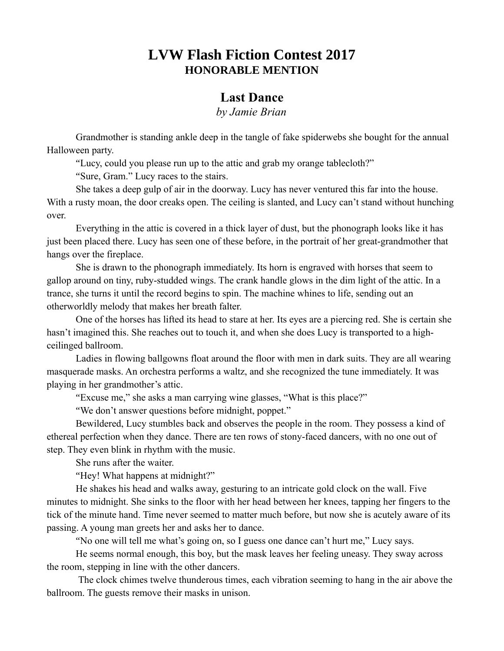## **LVW Flash Fiction Contest 2017 HONORABLE MENTION**

## **Last Dance**

*by Jamie Brian*

Grandmother is standing ankle deep in the tangle of fake spiderwebs she bought for the annual Halloween party.

"Lucy, could you please run up to the attic and grab my orange tablecloth?"

"Sure, Gram." Lucy races to the stairs.

She takes a deep gulp of air in the doorway. Lucy has never ventured this far into the house. With a rusty moan, the door creaks open. The ceiling is slanted, and Lucy can't stand without hunching over.

Everything in the attic is covered in a thick layer of dust, but the phonograph looks like it has just been placed there. Lucy has seen one of these before, in the portrait of her great-grandmother that hangs over the fireplace.

She is drawn to the phonograph immediately. Its horn is engraved with horses that seem to gallop around on tiny, ruby-studded wings. The crank handle glows in the dim light of the attic. In a trance, she turns it until the record begins to spin. The machine whines to life, sending out an otherworldly melody that makes her breath falter.

One of the horses has lifted its head to stare at her. Its eyes are a piercing red. She is certain she hasn't imagined this. She reaches out to touch it, and when she does Lucy is transported to a highceilinged ballroom.

Ladies in flowing ballgowns float around the floor with men in dark suits. They are all wearing masquerade masks. An orchestra performs a waltz, and she recognized the tune immediately. It was playing in her grandmother's attic.

"Excuse me," she asks a man carrying wine glasses, "What is this place?"

"We don't answer questions before midnight, poppet."

Bewildered, Lucy stumbles back and observes the people in the room. They possess a kind of ethereal perfection when they dance. There are ten rows of stony-faced dancers, with no one out of step. They even blink in rhythm with the music.

She runs after the waiter.

"Hey! What happens at midnight?"

He shakes his head and walks away, gesturing to an intricate gold clock on the wall. Five minutes to midnight. She sinks to the floor with her head between her knees, tapping her fingers to the tick of the minute hand. Time never seemed to matter much before, but now she is acutely aware of its passing. A young man greets her and asks her to dance.

"No one will tell me what's going on, so I guess one dance can't hurt me," Lucy says.

He seems normal enough, this boy, but the mask leaves her feeling uneasy. They sway across the room, stepping in line with the other dancers.

The clock chimes twelve thunderous times, each vibration seeming to hang in the air above the ballroom. The guests remove their masks in unison.